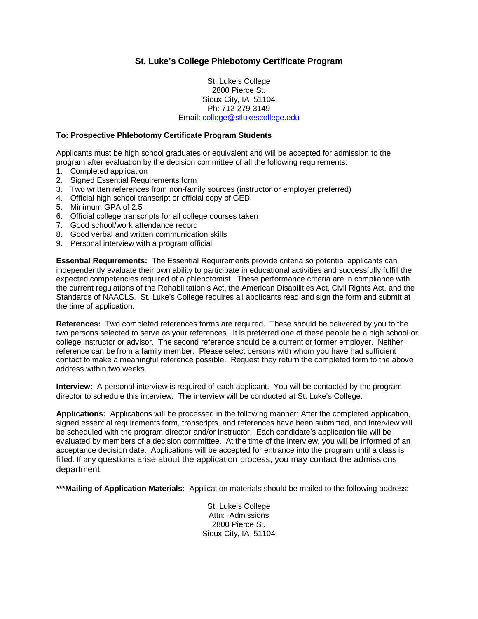# **St. Luke's College Phlebotomy Certificate Program**

St. Luke's College 2800 Pierce St. Sioux City, IA 51104 Ph: 712-279-3149 Email: [college@stlukescollege.edu](mailto:college@stlukescollege.edu)

#### **To: Prospective Phlebotomy Certificate Program Students**

Applicants must be high school graduates or equivalent and will be accepted for admission to the program after evaluation by the decision committee of all the following requirements:

- 1. Completed application
- 2. Signed Essential Requirements form
- 3. Two written references from non-family sources (instructor or employer preferred)
- 4. Official high school transcript or official copy of GED
- 5. Minimum GPA of 2.5
- 6. Official college transcripts for all college courses taken
- 7. Good school/work attendance record
- 8. Good verbal and written communication skills
- 9. Personal interview with a program official

**Essential Requirements:** The Essential Requirements provide criteria so potential applicants can independently evaluate their own ability to participate in educational activities and successfully fulfill the expected competencies required of a phlebotomist. These performance criteria are in compliance with the current regulations of the Rehabilitation's Act, the American Disabilities Act, Civil Rights Act, and the Standards of NAACLS. St. Luke's College requires all applicants read and sign the form and submit at the time of application.

**References:** Two completed references forms are required. These should be delivered by you to the two persons selected to serve as your references. It is preferred one of these people be a high school or college instructor or advisor. The second reference should be a current or former employer. Neither reference can be from a family member. Please select persons with whom you have had sufficient contact to make a meaningful reference possible. Request they return the completed form to the above address within two weeks.

**Interview:** A personal interview is required of each applicant. You will be contacted by the program director to schedule this interview. The interview will be conducted at St. Luke's College.

**Applications:** Applications will be processed in the following manner: After the completed application, signed essential requirements form, transcripts, and references have been submitted, and interview will be scheduled with the program director and/or instructor. Each candidate's application file will be evaluated by members of a decision committee. At the time of the interview, you will be informed of an acceptance decision date. Applications will be accepted for entrance into the program until a class is filled. If any questions arise about the application process, you may contact the admissions department.

**\*\*\*Mailing of Application Materials:** Application materials should be mailed to the following address:

St. Luke's College Attn: Admissions 2800 Pierce St. Sioux City, IA 51104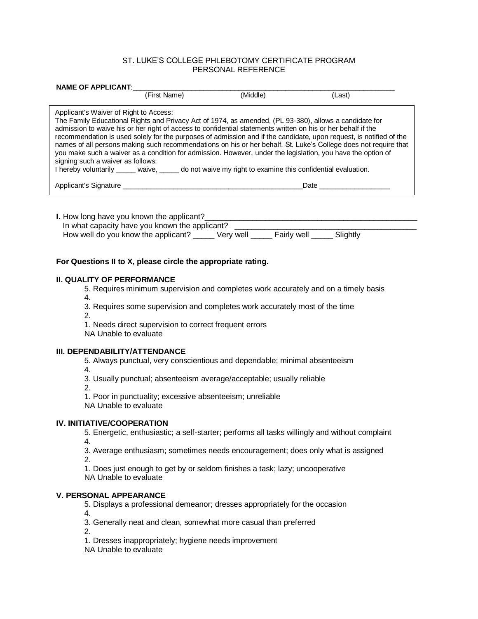## ST. LUKE'S COLLEGE PHLEBOTOMY CERTIFICATE PROGRAM PERSONAL REFERENCE

| <b>NAME OF APPLICANT:</b>                                                                                                                                                                                                                                                                                                                                                                                                                                                                                                                                                                                                                                                                                                                                               |                                                                        |                                                                                                                                                                                                                  |          |                                                                                                                                                                                    |
|-------------------------------------------------------------------------------------------------------------------------------------------------------------------------------------------------------------------------------------------------------------------------------------------------------------------------------------------------------------------------------------------------------------------------------------------------------------------------------------------------------------------------------------------------------------------------------------------------------------------------------------------------------------------------------------------------------------------------------------------------------------------------|------------------------------------------------------------------------|------------------------------------------------------------------------------------------------------------------------------------------------------------------------------------------------------------------|----------|------------------------------------------------------------------------------------------------------------------------------------------------------------------------------------|
|                                                                                                                                                                                                                                                                                                                                                                                                                                                                                                                                                                                                                                                                                                                                                                         |                                                                        | (First Name)                                                                                                                                                                                                     | (Middle) | (Last)                                                                                                                                                                             |
| Applicant's Waiver of Right to Access:<br>The Family Educational Rights and Privacy Act of 1974, as amended, (PL 93-380), allows a candidate for<br>admission to waive his or her right of access to confidential statements written on his or her behalf if the<br>recommendation is used solely for the purposes of admission and if the candidate, upon request, is notified of the<br>names of all persons making such recommendations on his or her behalf. St. Luke's College does not require that<br>you make such a waiver as a condition for admission. However, under the legislation, you have the option of<br>signing such a waiver as follows:<br>I hereby voluntarily _____ waive, _____ do not waive my right to examine this confidential evaluation. |                                                                        |                                                                                                                                                                                                                  |          |                                                                                                                                                                                    |
|                                                                                                                                                                                                                                                                                                                                                                                                                                                                                                                                                                                                                                                                                                                                                                         |                                                                        |                                                                                                                                                                                                                  |          | Date <b>Date</b>                                                                                                                                                                   |
| In what capacity have you known the applicant?<br>How well do you know the applicant? _____ Very well _____ Fairly well _____ Slightly                                                                                                                                                                                                                                                                                                                                                                                                                                                                                                                                                                                                                                  |                                                                        |                                                                                                                                                                                                                  |          |                                                                                                                                                                                    |
| For Questions II to X, please circle the appropriate rating.                                                                                                                                                                                                                                                                                                                                                                                                                                                                                                                                                                                                                                                                                                            |                                                                        |                                                                                                                                                                                                                  |          |                                                                                                                                                                                    |
|                                                                                                                                                                                                                                                                                                                                                                                                                                                                                                                                                                                                                                                                                                                                                                         | <b>II. QUALITY OF PERFORMANCE</b><br>4.<br>2.<br>NA Unable to evaluate | 3. Requires some supervision and completes work accurately most of the time<br>1. Needs direct supervision to correct frequent errors                                                                            |          | 5. Requires minimum supervision and completes work accurately and on a timely basis                                                                                                |
|                                                                                                                                                                                                                                                                                                                                                                                                                                                                                                                                                                                                                                                                                                                                                                         | III. DEPENDABILITY/ATTENDANCE<br>4.<br>2.<br>NA Unable to evaluate     | 5. Always punctual, very conscientious and dependable; minimal absenteeism<br>3. Usually punctual; absenteeism average/acceptable; usually reliable<br>1. Poor in punctuality; excessive absenteeism; unreliable |          |                                                                                                                                                                                    |
|                                                                                                                                                                                                                                                                                                                                                                                                                                                                                                                                                                                                                                                                                                                                                                         | <b>IV. INITIATIVE/COOPERATION</b><br>4.<br>2.<br>NA Unable to evaluate | 1. Does just enough to get by or seldom finishes a task; lazy; uncooperative                                                                                                                                     |          | 5. Energetic, enthusiastic; a self-starter; performs all tasks willingly and without complaint<br>3. Average enthusiasm; sometimes needs encouragement; does only what is assigned |
| <b>V. PERSONAL APPEARANCE</b><br>5. Displays a professional demeanor; dresses appropriately for the occasion<br>4.<br>3. Generally neat and clean, somewhat more casual than preferred<br>2.                                                                                                                                                                                                                                                                                                                                                                                                                                                                                                                                                                            |                                                                        |                                                                                                                                                                                                                  |          |                                                                                                                                                                                    |

1. Dresses inappropriately; hygiene needs improvement

NA Unable to evaluate